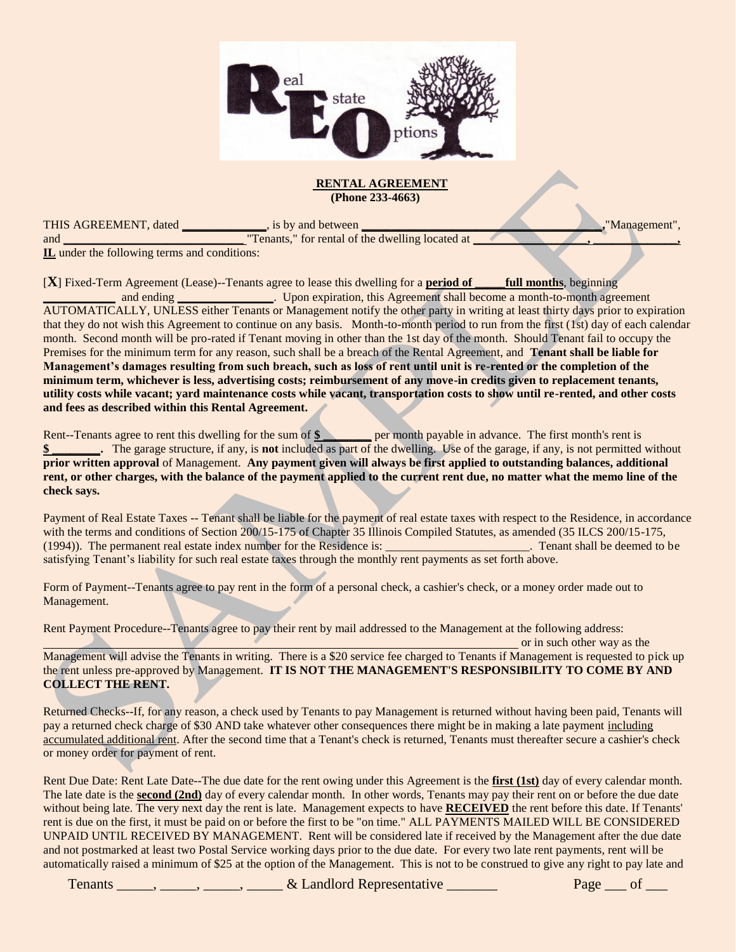

#### **RENTAL AGREEMENT (Phone 233-4663)**

THIS AGREEMENT, dated **\_\_\_\_\_\_\_\_\_\_\_\_\_\_**, is by and between **\_\_\_\_\_\_\_\_\_\_\_\_\_\_\_\_\_\_\_\_\_\_\_\_\_\_\_\_\_\_\_\_\_\_\_\_\_\_\_\_,**"Management", and **\_\_\_\_\_\_\_\_\_\_\_\_\_\_\_\_\_\_\_\_\_**,  $\frac{1}{2}$  for rental of the dwelling located at  $\frac{1}{2}$  **Tenants**," for rental of the dwelling located at

**IL** under the following terms and conditions:

[**X**] Fixed-Term Agreement (Lease)--Tenants agree to lease this dwelling for a **period of \_\_\_\_\_full months**, beginning **and ending \_\_\_\_\_\_\_\_\_\_** Upon expiration, this Agreement shall become a month-to-month agreement AUTOMATICALLY, UNLESS either Tenants or Management notify the other party in writing at least thirty days prior to expiration that they do not wish this Agreement to continue on any basis. Month-to-month period to run from the first (1st) day of each calendar month. Second month will be pro-rated if Tenant moving in other than the 1st day of the month. Should Tenant fail to occupy the Premises for the minimum term for any reason, such shall be a breach of the Rental Agreement, and **Tenant shall be liable for Management's damages resulting from such breach, such as loss of rent until unit is re-rented or the completion of the minimum term, whichever is less, advertising costs; reimbursement of any move-in credits given to replacement tenants, utility costs while vacant; yard maintenance costs while vacant, transportation costs to show until re-rented, and other costs and fees as described within this Rental Agreement.**

Rent--Tenants agree to rent this dwelling for the sum of \$ \_\_\_\_\_\_\_\_ per month payable in advance. The first month's rent is **\$ \_\_\_\_\_\_\_\_.** The garage structure, if any, is **not** included as part of the dwelling. Use of the garage, if any, is not permitted without **prior written approval** of Management. **Any payment given will always be first applied to outstanding balances, additional rent, or other charges, with the balance of the payment applied to the current rent due, no matter what the memo line of the check says.**

Payment of Real Estate Taxes -- Tenant shall be liable for the payment of real estate taxes with respect to the Residence, in accordance with the terms and conditions of Section 200/15-175 of Chapter 35 Illinois Compiled Statutes, as amended (35 ILCS 200/15-175, (1994)). The permanent real estate index number for the Residence is: \_\_\_\_\_\_\_\_\_\_\_\_\_\_\_\_\_\_\_\_\_\_\_\_. Tenant shall be deemed to be satisfying Tenant's liability for such real estate taxes through the monthly rent payments as set forth above.

Form of Payment--Tenants agree to pay rent in the form of a personal check, a cashier's check, or a money order made out to Management.

Rent Payment Procedure--Tenants agree to pay their rent by mail addressed to the Management at the following address:

or in such other way as the Management will advise the Tenants in writing. There is a \$20 service fee charged to Tenants if Management is requested to pick up the rent unless pre-approved by Management. **IT IS NOT THE MANAGEMENT'S RESPONSIBILITY TO COME BY AND COLLECT THE RENT.**

Returned Checks--If, for any reason, a check used by Tenants to pay Management is returned without having been paid, Tenants will pay a returned check charge of \$30 AND take whatever other consequences there might be in making a late payment including accumulated additional rent. After the second time that a Tenant's check is returned, Tenants must thereafter secure a cashier's check or money order for payment of rent.

Rent Due Date: Rent Late Date--The due date for the rent owing under this Agreement is the **first (1st)** day of every calendar month. The late date is the **second (2nd)** day of every calendar month. In other words, Tenants may pay their rent on or before the due date without being late. The very next day the rent is late. Management expects to have **RECEIVED** the rent before this date. If Tenants' rent is due on the first, it must be paid on or before the first to be "on time." ALL PAYMENTS MAILED WILL BE CONSIDERED UNPAID UNTIL RECEIVED BY MANAGEMENT. Rent will be considered late if received by the Management after the due date and not postmarked at least two Postal Service working days prior to the due date. For every two late rent payments, rent will be automatically raised a minimum of \$25 at the option of the Management. This is not to be construed to give any right to pay late and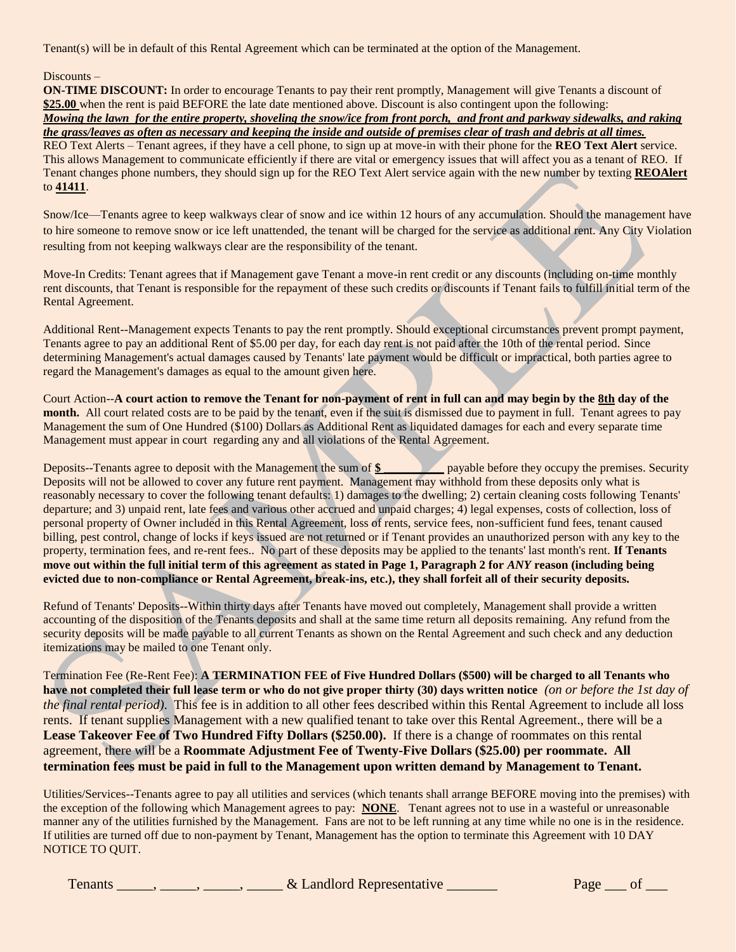Tenant(s) will be in default of this Rental Agreement which can be terminated at the option of the Management.

#### Discounts –

**ON-TIME DISCOUNT:** In order to encourage Tenants to pay their rent promptly, Management will give Tenants a discount of **\$25.00** when the rent is paid BEFORE the late date mentioned above. Discount is also contingent upon the following: *Mowing the lawn for the entire property, shoveling the snow/ice from front porch, and front and parkway sidewalks, and raking the grass/leaves as often as necessary and keeping the inside and outside of premises clear of trash and debris at all times.*  REO Text Alerts – Tenant agrees, if they have a cell phone, to sign up at move-in with their phone for the **REO Text Alert** service. This allows Management to communicate efficiently if there are vital or emergency issues that will affect you as a tenant of REO. If Tenant changes phone numbers, they should sign up for the REO Text Alert service again with the new number by texting **REOAlert** to **41411**.

Snow/Ice—Tenants agree to keep walkways clear of snow and ice within 12 hours of any accumulation. Should the management have to hire someone to remove snow or ice left unattended, the tenant will be charged for the service as additional rent. Any City Violation resulting from not keeping walkways clear are the responsibility of the tenant.

Move-In Credits: Tenant agrees that if Management gave Tenant a move-in rent credit or any discounts (including on-time monthly rent discounts, that Tenant is responsible for the repayment of these such credits or discounts if Tenant fails to fulfill initial term of the Rental Agreement.

Additional Rent--Management expects Tenants to pay the rent promptly. Should exceptional circumstances prevent prompt payment, Tenants agree to pay an additional Rent of \$5.00 per day, for each day rent is not paid after the 10th of the rental period. Since determining Management's actual damages caused by Tenants' late payment would be difficult or impractical, both parties agree to regard the Management's damages as equal to the amount given here.

Court Action--**A court action to remove the Tenant for non-payment of rent in full can and may begin by the 8th day of the month.** All court related costs are to be paid by the tenant, even if the suit is dismissed due to payment in full. Tenant agrees to pay Management the sum of One Hundred (\$100) Dollars as Additional Rent as liquidated damages for each and every separate time Management must appear in court regarding any and all violations of the Rental Agreement.

Deposits--Tenants agree to deposit with the Management the sum of \$ payable before they occupy the premises. Security Deposits will not be allowed to cover any future rent payment. Management may withhold from these deposits only what is reasonably necessary to cover the following tenant defaults: 1) damages to the dwelling; 2) certain cleaning costs following Tenants' departure; and 3) unpaid rent, late fees and various other accrued and unpaid charges; 4) legal expenses, costs of collection, loss of personal property of Owner included in this Rental Agreement, loss of rents, service fees, non-sufficient fund fees, tenant caused billing, pest control, change of locks if keys issued are not returned or if Tenant provides an unauthorized person with any key to the property, termination fees, and re-rent fees.. No part of these deposits may be applied to the tenants' last month's rent. **If Tenants move out within the full initial term of this agreement as stated in Page 1, Paragraph 2 for** *ANY* **reason (including being evicted due to non-compliance or Rental Agreement, break-ins, etc.), they shall forfeit all of their security deposits.** 

Refund of Tenants' Deposits--Within thirty days after Tenants have moved out completely, Management shall provide a written accounting of the disposition of the Tenants deposits and shall at the same time return all deposits remaining. Any refund from the security deposits will be made payable to all current Tenants as shown on the Rental Agreement and such check and any deduction itemizations may be mailed to one Tenant only.

Termination Fee (Re-Rent Fee): **A TERMINATION FEE of Five Hundred Dollars (\$500) will be charged to all Tenants who have not completed their full lease term or who do not give proper thirty (30) days written notice** *(on or before the 1st day of the final rental period)*. This fee is in addition to all other fees described within this Rental Agreement to include all loss rents. If tenant supplies Management with a new qualified tenant to take over this Rental Agreement., there will be a **Lease Takeover Fee of Two Hundred Fifty Dollars (\$250.00).** If there is a change of roommates on this rental agreement, there will be a **Roommate Adjustment Fee of Twenty-Five Dollars (\$25.00) per roommate. All termination fees must be paid in full to the Management upon written demand by Management to Tenant.**

Utilities/Services--Tenants agree to pay all utilities and services (which tenants shall arrange BEFORE moving into the premises) with the exception of the following which Management agrees to pay: **NONE**. Tenant agrees not to use in a wasteful or unreasonable manner any of the utilities furnished by the Management. Fans are not to be left running at any time while no one is in the residence. If utilities are turned off due to non-payment by Tenant, Management has the option to terminate this Agreement with 10 DAY NOTICE TO QUIT.

| & Landlord Representative<br>renants | Page |
|--------------------------------------|------|
|--------------------------------------|------|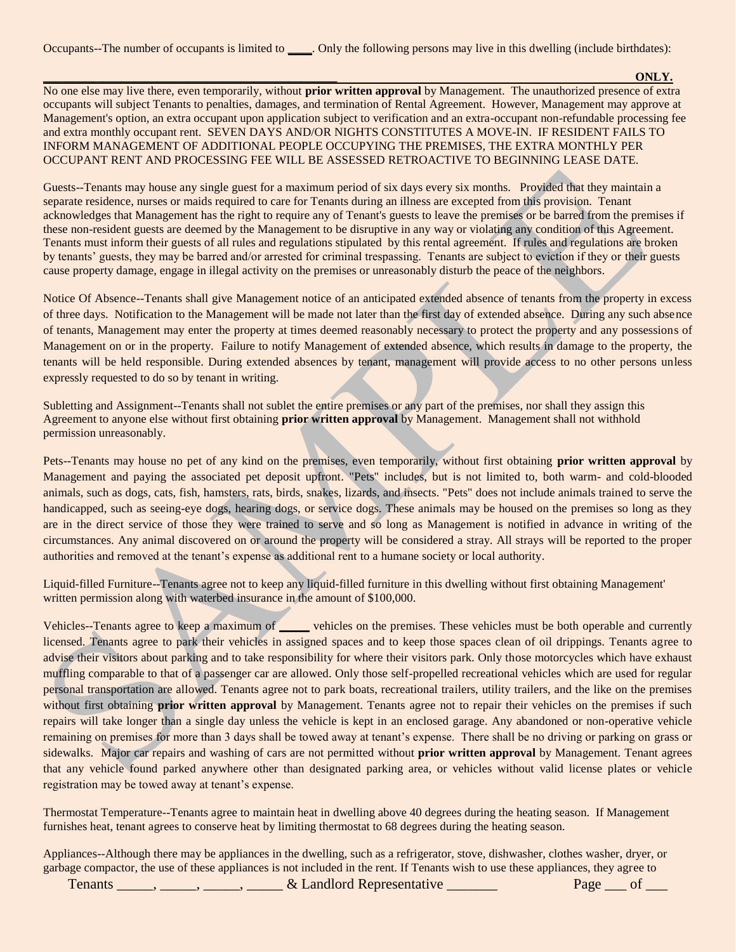**\_\_\_\_\_\_\_\_\_\_\_\_\_\_\_\_\_\_\_\_\_\_\_\_\_\_\_\_\_\_\_\_\_\_\_\_\_\_\_\_\_\_\_\_\_\_\_\_\_ ONLY.** No one else may live there, even temporarily, without **prior written approval** by Management. The unauthorized presence of extra occupants will subject Tenants to penalties, damages, and termination of Rental Agreement. However, Management may approve at Management's option, an extra occupant upon application subject to verification and an extra-occupant non-refundable processing fee and extra monthly occupant rent. SEVEN DAYS AND/OR NIGHTS CONSTITUTES A MOVE-IN. IF RESIDENT FAILS TO INFORM MANAGEMENT OF ADDITIONAL PEOPLE OCCUPYING THE PREMISES, THE EXTRA MONTHLY PER OCCUPANT RENT AND PROCESSING FEE WILL BE ASSESSED RETROACTIVE TO BEGINNING LEASE DATE.

Guests--Tenants may house any single guest for a maximum period of six days every six months. Provided that they maintain a separate residence, nurses or maids required to care for Tenants during an illness are excepted from this provision. Tenant acknowledges that Management has the right to require any of Tenant's guests to leave the premises or be barred from the premises if these non-resident guests are deemed by the Management to be disruptive in any way or violating any condition of this Agreement. Tenants must inform their guests of all rules and regulations stipulated by this rental agreement. If rules and regulations are broken by tenants' guests, they may be barred and/or arrested for criminal trespassing. Tenants are subject to eviction if they or their guests cause property damage, engage in illegal activity on the premises or unreasonably disturb the peace of the neighbors.

Notice Of Absence--Tenants shall give Management notice of an anticipated extended absence of tenants from the property in excess of three days. Notification to the Management will be made not later than the first day of extended absence. During any such absence of tenants, Management may enter the property at times deemed reasonably necessary to protect the property and any possessions of Management on or in the property. Failure to notify Management of extended absence, which results in damage to the property, the tenants will be held responsible. During extended absences by tenant, management will provide access to no other persons unless expressly requested to do so by tenant in writing.

Subletting and Assignment--Tenants shall not sublet the entire premises or any part of the premises, nor shall they assign this Agreement to anyone else without first obtaining **prior written approval** by Management. Management shall not withhold permission unreasonably.

Pets--Tenants may house no pet of any kind on the premises, even temporarily, without first obtaining **prior written approval** by Management and paying the associated pet deposit upfront. "Pets" includes, but is not limited to, both warm- and cold-blooded animals, such as dogs, cats, fish, hamsters, rats, birds, snakes, lizards, and insects. "Pets" does not include animals trained to serve the handicapped, such as seeing-eye dogs, hearing dogs, or service dogs. These animals may be housed on the premises so long as they are in the direct service of those they were trained to serve and so long as Management is notified in advance in writing of the circumstances. Any animal discovered on or around the property will be considered a stray. All strays will be reported to the proper authorities and removed at the tenant's expense as additional rent to a humane society or local authority.

Liquid-filled Furniture--Tenants agree not to keep any liquid-filled furniture in this dwelling without first obtaining Management' written permission along with waterbed insurance in the amount of \$100,000.

Vehicles--Tenants agree to keep a maximum of **\_\_\_\_\_** vehicles on the premises. These vehicles must be both operable and currently licensed. Tenants agree to park their vehicles in assigned spaces and to keep those spaces clean of oil drippings. Tenants agree to advise their visitors about parking and to take responsibility for where their visitors park. Only those motorcycles which have exhaust muffling comparable to that of a passenger car are allowed. Only those self-propelled recreational vehicles which are used for regular personal transportation are allowed. Tenants agree not to park boats, recreational trailers, utility trailers, and the like on the premises without first obtaining **prior written approval** by Management. Tenants agree not to repair their vehicles on the premises if such repairs will take longer than a single day unless the vehicle is kept in an enclosed garage. Any abandoned or non-operative vehicle remaining on premises for more than 3 days shall be towed away at tenant's expense. There shall be no driving or parking on grass or sidewalks. Major car repairs and washing of cars are not permitted without **prior written approval** by Management. Tenant agrees that any vehicle found parked anywhere other than designated parking area, or vehicles without valid license plates or vehicle registration may be towed away at tenant's expense.

Thermostat Temperature--Tenants agree to maintain heat in dwelling above 40 degrees during the heating season. If Management furnishes heat, tenant agrees to conserve heat by limiting thermostat to 68 degrees during the heating season.

Appliances--Although there may be appliances in the dwelling, such as a refrigerator, stove, dishwasher, clothes washer, dryer, or garbage compactor, the use of these appliances is not included in the rent. If Tenants wish to use these appliances, they agree to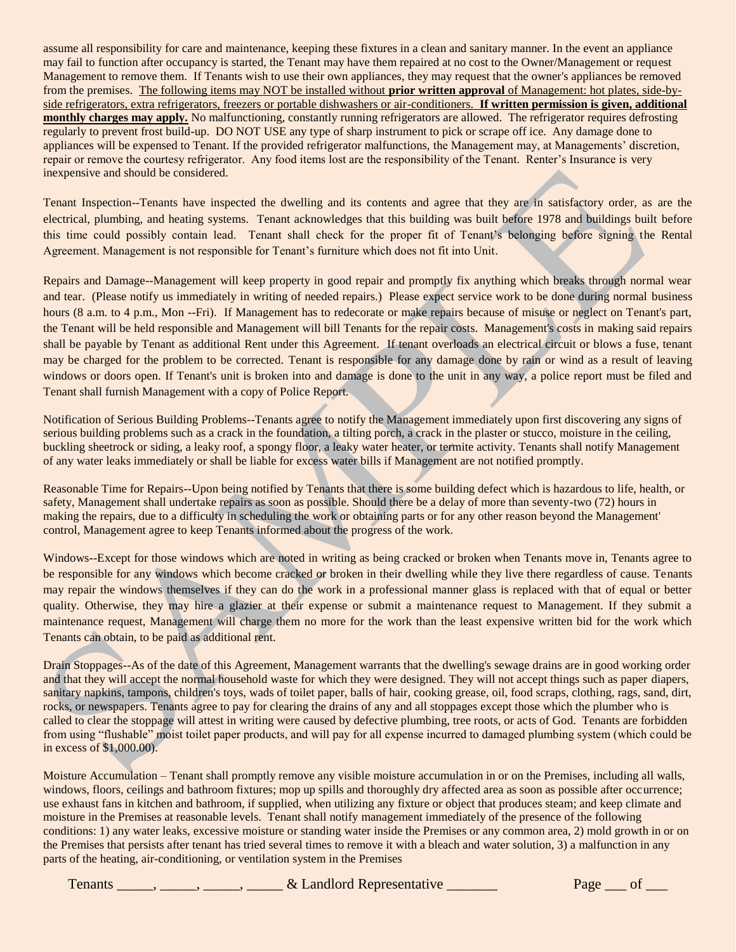assume all responsibility for care and maintenance, keeping these fixtures in a clean and sanitary manner. In the event an appliance may fail to function after occupancy is started, the Tenant may have them repaired at no cost to the Owner/Management or request Management to remove them. If Tenants wish to use their own appliances, they may request that the owner's appliances be removed from the premises. The following items may NOT be installed without **prior written approval** of Management: hot plates, side-byside refrigerators, extra refrigerators, freezers or portable dishwashers or air-conditioners. **If written permission is given, additional monthly charges may apply.** No malfunctioning, constantly running refrigerators are allowed. The refrigerator requires defrosting regularly to prevent frost build-up. DO NOT USE any type of sharp instrument to pick or scrape off ice. Any damage done to appliances will be expensed to Tenant. If the provided refrigerator malfunctions, the Management may, at Managements' discretion, repair or remove the courtesy refrigerator. Any food items lost are the responsibility of the Tenant. Renter's Insurance is very inexpensive and should be considered.

Tenant Inspection--Tenants have inspected the dwelling and its contents and agree that they are in satisfactory order, as are the electrical, plumbing, and heating systems. Tenant acknowledges that this building was built before 1978 and buildings built before this time could possibly contain lead. Tenant shall check for the proper fit of Tenant's belonging before signing the Rental Agreement. Management is not responsible for Tenant's furniture which does not fit into Unit.

Repairs and Damage--Management will keep property in good repair and promptly fix anything which breaks through normal wear and tear. (Please notify us immediately in writing of needed repairs.) Please expect service work to be done during normal business hours (8 a.m. to 4 p.m., Mon --Fri). If Management has to redecorate or make repairs because of misuse or neglect on Tenant's part, the Tenant will be held responsible and Management will bill Tenants for the repair costs. Management's costs in making said repairs shall be payable by Tenant as additional Rent under this Agreement. If tenant overloads an electrical circuit or blows a fuse, tenant may be charged for the problem to be corrected. Tenant is responsible for any damage done by rain or wind as a result of leaving windows or doors open. If Tenant's unit is broken into and damage is done to the unit in any way, a police report must be filed and Tenant shall furnish Management with a copy of Police Report.

Notification of Serious Building Problems--Tenants agree to notify the Management immediately upon first discovering any signs of serious building problems such as a crack in the foundation, a tilting porch, a crack in the plaster or stucco, moisture in the ceiling, buckling sheetrock or siding, a leaky roof, a spongy floor, a leaky water heater, or termite activity. Tenants shall notify Management of any water leaks immediately or shall be liable for excess water bills if Management are not notified promptly.

Reasonable Time for Repairs--Upon being notified by Tenants that there is some building defect which is hazardous to life, health, or safety, Management shall undertake repairs as soon as possible. Should there be a delay of more than seventy-two (72) hours in making the repairs, due to a difficulty in scheduling the work or obtaining parts or for any other reason beyond the Management' control, Management agree to keep Tenants informed about the progress of the work.

Windows--Except for those windows which are noted in writing as being cracked or broken when Tenants move in, Tenants agree to be responsible for any windows which become cracked or broken in their dwelling while they live there regardless of cause. Tenants may repair the windows themselves if they can do the work in a professional manner glass is replaced with that of equal or better quality. Otherwise, they may hire a glazier at their expense or submit a maintenance request to Management. If they submit a maintenance request, Management will charge them no more for the work than the least expensive written bid for the work which Tenants can obtain, to be paid as additional rent.

Drain Stoppages--As of the date of this Agreement, Management warrants that the dwelling's sewage drains are in good working order and that they will accept the normal household waste for which they were designed. They will not accept things such as paper diapers, sanitary napkins, tampons, children's toys, wads of toilet paper, balls of hair, cooking grease, oil, food scraps, clothing, rags, sand, dirt, rocks, or newspapers. Tenants agree to pay for clearing the drains of any and all stoppages except those which the plumber who is called to clear the stoppage will attest in writing were caused by defective plumbing, tree roots, or acts of God. Tenants are forbidden from using "flushable" moist toilet paper products, and will pay for all expense incurred to damaged plumbing system (which could be in excess of \$1,000.00).

Moisture Accumulation – Tenant shall promptly remove any visible moisture accumulation in or on the Premises, including all walls, windows, floors, ceilings and bathroom fixtures; mop up spills and thoroughly dry affected area as soon as possible after occurrence; use exhaust fans in kitchen and bathroom, if supplied, when utilizing any fixture or object that produces steam; and keep climate and moisture in the Premises at reasonable levels. Tenant shall notify management immediately of the presence of the following conditions: 1) any water leaks, excessive moisture or standing water inside the Premises or any common area, 2) mold growth in or on the Premises that persists after tenant has tried several times to remove it with a bleach and water solution, 3) a malfunction in any parts of the heating, air-conditioning, or ventilation system in the Premises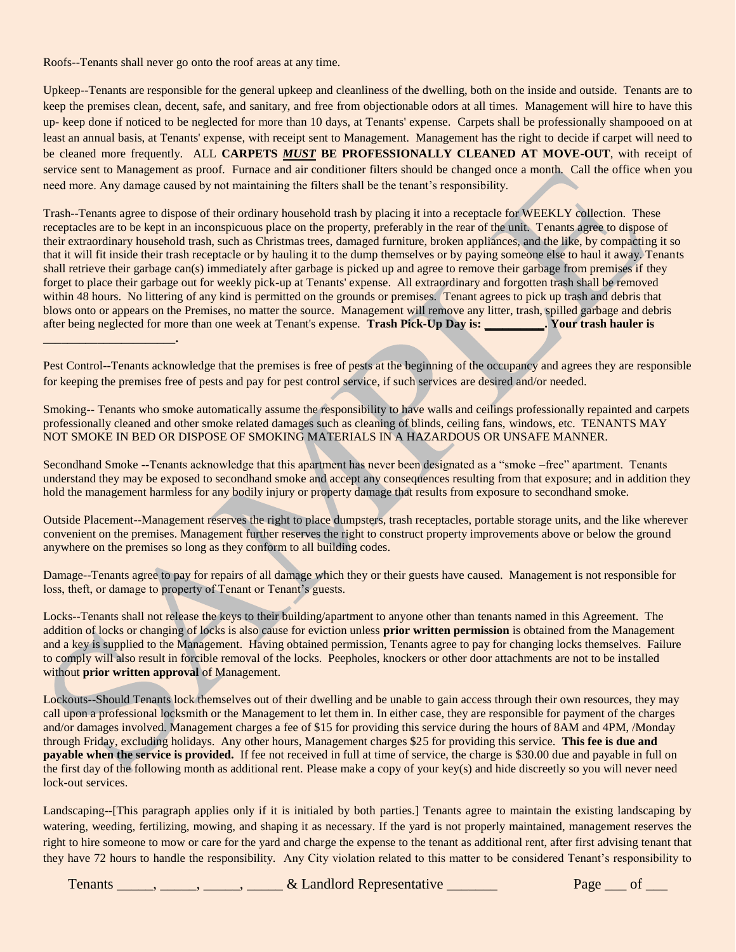Roofs--Tenants shall never go onto the roof areas at any time.

**\_\_\_\_\_\_\_\_\_\_\_\_\_\_\_\_\_\_\_\_\_\_.**

Upkeep--Tenants are responsible for the general upkeep and cleanliness of the dwelling, both on the inside and outside. Tenants are to keep the premises clean, decent, safe, and sanitary, and free from objectionable odors at all times. Management will hire to have this up- keep done if noticed to be neglected for more than 10 days, at Tenants' expense. Carpets shall be professionally shampooed on at least an annual basis, at Tenants' expense, with receipt sent to Management. Management has the right to decide if carpet will need to be cleaned more frequently. ALL **CARPETS** *MUST* **BE PROFESSIONALLY CLEANED AT MOVE-OUT**, with receipt of service sent to Management as proof. Furnace and air conditioner filters should be changed once a month. Call the office when you need more. Any damage caused by not maintaining the filters shall be the tenant's responsibility.

Trash--Tenants agree to dispose of their ordinary household trash by placing it into a receptacle for WEEKLY collection. These receptacles are to be kept in an inconspicuous place on the property, preferably in the rear of the unit. Tenants agree to dispose of their extraordinary household trash, such as Christmas trees, damaged furniture, broken appliances, and the like, by compacting it so that it will fit inside their trash receptacle or by hauling it to the dump themselves or by paying someone else to haul it away. Tenants shall retrieve their garbage can(s) immediately after garbage is picked up and agree to remove their garbage from premises if they forget to place their garbage out for weekly pick-up at Tenants' expense. All extraordinary and forgotten trash shall be removed within 48 hours. No littering of any kind is permitted on the grounds or premises. Tenant agrees to pick up trash and debris that blows onto or appears on the Premises, no matter the source. Management will remove any litter, trash, spilled garbage and debris after being neglected for more than one week at Tenant's expense. **Trash Pick-Up Day is: \_\_\_\_\_\_\_\_\_\_. Your trash hauler is** 

Pest Control--Tenants acknowledge that the premises is free of pests at the beginning of the occupancy and agrees they are responsible for keeping the premises free of pests and pay for pest control service, if such services are desired and/or needed.

Smoking-- Tenants who smoke automatically assume the responsibility to have walls and ceilings professionally repainted and carpets professionally cleaned and other smoke related damages such as cleaning of blinds, ceiling fans, windows, etc. TENANTS MAY NOT SMOKE IN BED OR DISPOSE OF SMOKING MATERIALS IN A HAZARDOUS OR UNSAFE MANNER.

Secondhand Smoke --Tenants acknowledge that this apartment has never been designated as a "smoke –free" apartment. Tenants understand they may be exposed to secondhand smoke and accept any consequences resulting from that exposure; and in addition they hold the management harmless for any bodily injury or property damage that results from exposure to secondhand smoke.

Outside Placement--Management reserves the right to place dumpsters, trash receptacles, portable storage units, and the like wherever convenient on the premises. Management further reserves the right to construct property improvements above or below the ground anywhere on the premises so long as they conform to all building codes.

Damage--Tenants agree to pay for repairs of all damage which they or their guests have caused. Management is not responsible for loss, theft, or damage to property of Tenant or Tenant's guests.

Locks--Tenants shall not release the keys to their building/apartment to anyone other than tenants named in this Agreement. The addition of locks or changing of locks is also cause for eviction unless **prior written permission** is obtained from the Management and a key is supplied to the Management. Having obtained permission, Tenants agree to pay for changing locks themselves. Failure to comply will also result in forcible removal of the locks. Peepholes, knockers or other door attachments are not to be installed without **prior written approval** of Management.

Lockouts--Should Tenants lock themselves out of their dwelling and be unable to gain access through their own resources, they may call upon a professional locksmith or the Management to let them in. In either case, they are responsible for payment of the charges and/or damages involved. Management charges a fee of \$15 for providing this service during the hours of 8AM and 4PM, /Monday through Friday, excluding holidays. Any other hours, Management charges \$25 for providing this service. **This fee is due and payable when the service is provided.** If fee not received in full at time of service, the charge is \$30.00 due and payable in full on the first day of the following month as additional rent. Please make a copy of your key(s) and hide discreetly so you will never need lock-out services.

Landscaping--[This paragraph applies only if it is initialed by both parties.] Tenants agree to maintain the existing landscaping by watering, weeding, fertilizing, mowing, and shaping it as necessary. If the yard is not properly maintained, management reserves the right to hire someone to mow or care for the yard and charge the expense to the tenant as additional rent, after first advising tenant that they have 72 hours to handle the responsibility. Any City violation related to this matter to be considered Tenant's responsibility to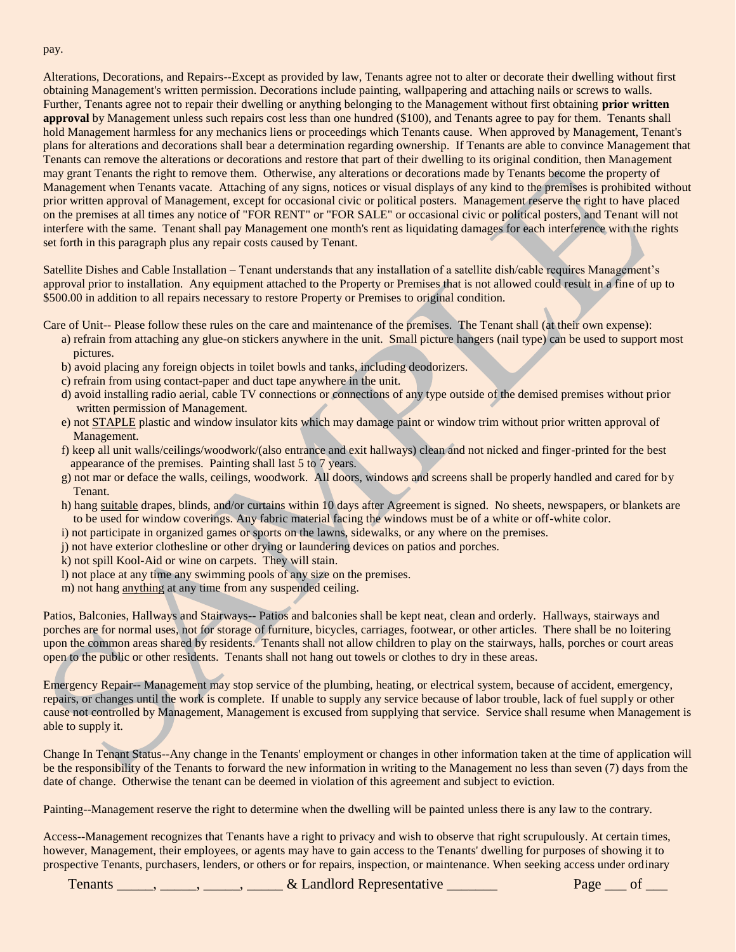Alterations, Decorations, and Repairs--Except as provided by law, Tenants agree not to alter or decorate their dwelling without first obtaining Management's written permission. Decorations include painting, wallpapering and attaching nails or screws to walls. Further, Tenants agree not to repair their dwelling or anything belonging to the Management without first obtaining **prior written approval** by Management unless such repairs cost less than one hundred (\$100), and Tenants agree to pay for them. Tenants shall hold Management harmless for any mechanics liens or proceedings which Tenants cause. When approved by Management, Tenant's plans for alterations and decorations shall bear a determination regarding ownership. If Tenants are able to convince Management that Tenants can remove the alterations or decorations and restore that part of their dwelling to its original condition, then Management may grant Tenants the right to remove them. Otherwise, any alterations or decorations made by Tenants become the property of Management when Tenants vacate. Attaching of any signs, notices or visual displays of any kind to the premises is prohibited without prior written approval of Management, except for occasional civic or political posters. Management reserve the right to have placed on the premises at all times any notice of "FOR RENT" or "FOR SALE" or occasional civic or political posters, and Tenant will not interfere with the same. Tenant shall pay Management one month's rent as liquidating damages for each interference with the rights set forth in this paragraph plus any repair costs caused by Tenant.

Satellite Dishes and Cable Installation – Tenant understands that any installation of a satellite dish/cable requires Management's approval prior to installation. Any equipment attached to the Property or Premises that is not allowed could result in a fine of up to \$500.00 in addition to all repairs necessary to restore Property or Premises to original condition.

Care of Unit-- Please follow these rules on the care and maintenance of the premises. The Tenant shall (at their own expense):

- a) refrain from attaching any glue-on stickers anywhere in the unit. Small picture hangers (nail type) can be used to support most pictures.
- b) avoid placing any foreign objects in toilet bowls and tanks, including deodorizers.
- c) refrain from using contact-paper and duct tape anywhere in the unit.
- d) avoid installing radio aerial, cable TV connections or connections of any type outside of the demised premises without prior written permission of Management.
- e) not STAPLE plastic and window insulator kits which may damage paint or window trim without prior written approval of Management.
- f) keep all unit walls/ceilings/woodwork/(also entrance and exit hallways) clean and not nicked and finger-printed for the best appearance of the premises. Painting shall last 5 to 7 years.
- g) not mar or deface the walls, ceilings, woodwork. All doors, windows and screens shall be properly handled and cared for by Tenant.
- h) hang suitable drapes, blinds, and/or curtains within 10 days after Agreement is signed. No sheets, newspapers, or blankets are to be used for window coverings. Any fabric material facing the windows must be of a white or off-white color.
- i) not participate in organized games or sports on the lawns, sidewalks, or any where on the premises.
- j) not have exterior clothesline or other drying or laundering devices on patios and porches.
- k) not spill Kool-Aid or wine on carpets. They will stain.
- l) not place at any time any swimming pools of any size on the premises.
- m) not hang anything at any time from any suspended ceiling.

Patios, Balconies, Hallways and Stairways-- Patios and balconies shall be kept neat, clean and orderly. Hallways, stairways and porches are for normal uses, not for storage of furniture, bicycles, carriages, footwear, or other articles. There shall be no loitering upon the common areas shared by residents. Tenants shall not allow children to play on the stairways, halls, porches or court areas open to the public or other residents. Tenants shall not hang out towels or clothes to dry in these areas.

Emergency Repair-- Management may stop service of the plumbing, heating, or electrical system, because of accident, emergency, repairs, or changes until the work is complete. If unable to supply any service because of labor trouble, lack of fuel supply or other cause not controlled by Management, Management is excused from supplying that service. Service shall resume when Management is able to supply it.

Change In Tenant Status--Any change in the Tenants' employment or changes in other information taken at the time of application will be the responsibility of the Tenants to forward the new information in writing to the Management no less than seven (7) days from the date of change. Otherwise the tenant can be deemed in violation of this agreement and subject to eviction.

Painting--Management reserve the right to determine when the dwelling will be painted unless there is any law to the contrary.

Access--Management recognizes that Tenants have a right to privacy and wish to observe that right scrupulously. At certain times, however, Management, their employees, or agents may have to gain access to the Tenants' dwelling for purposes of showing it to prospective Tenants, purchasers, lenders, or others or for repairs, inspection, or maintenance. When seeking access under ordinary

Tenants \_\_\_\_\_, \_\_\_\_\_, \_\_\_\_\_, & Landlord Representative \_\_\_\_\_\_\_ Page \_\_\_ of \_\_\_

pay.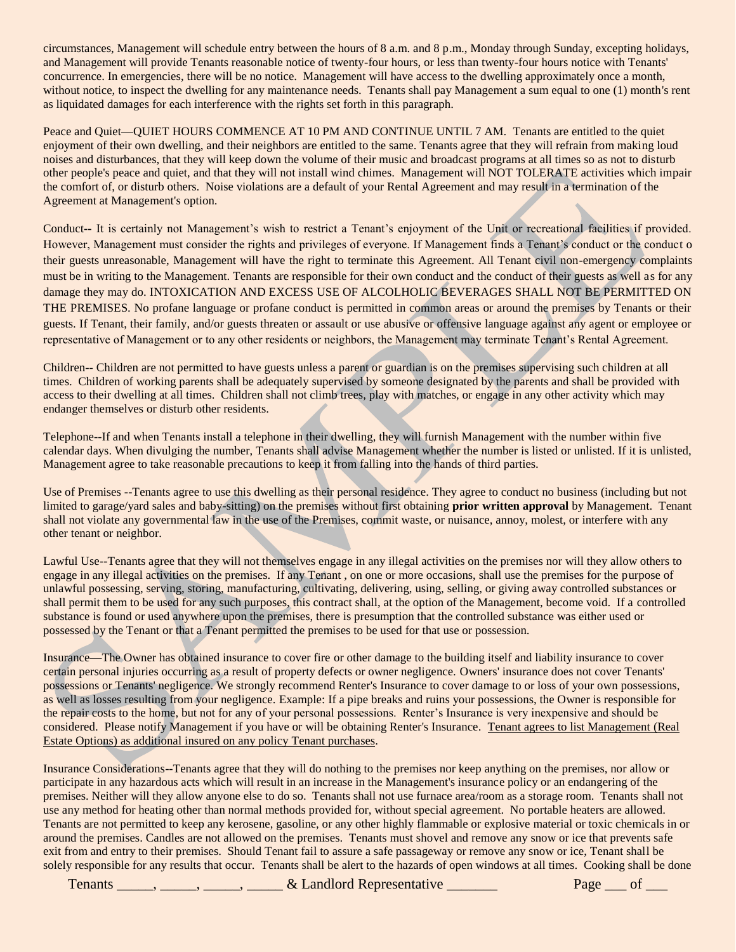circumstances, Management will schedule entry between the hours of 8 a.m. and 8 p.m., Monday through Sunday, excepting holidays, and Management will provide Tenants reasonable notice of twenty-four hours, or less than twenty-four hours notice with Tenants' concurrence. In emergencies, there will be no notice. Management will have access to the dwelling approximately once a month, without notice, to inspect the dwelling for any maintenance needs. Tenants shall pay Management a sum equal to one (1) month's rent as liquidated damages for each interference with the rights set forth in this paragraph.

Peace and Quiet—QUIET HOURS COMMENCE AT 10 PM AND CONTINUE UNTIL 7 AM. Tenants are entitled to the quiet enjoyment of their own dwelling, and their neighbors are entitled to the same. Tenants agree that they will refrain from making loud noises and disturbances, that they will keep down the volume of their music and broadcast programs at all times so as not to disturb other people's peace and quiet, and that they will not install wind chimes. Management will NOT TOLERATE activities which impair the comfort of, or disturb others. Noise violations are a default of your Rental Agreement and may result in a termination of the Agreement at Management's option.

Conduct**--** It is certainly not Management's wish to restrict a Tenant's enjoyment of the Unit or recreational facilities if provided. However, Management must consider the rights and privileges of everyone. If Management finds a Tenant's conduct or the conduct o their guests unreasonable, Management will have the right to terminate this Agreement. All Tenant civil non-emergency complaints must be in writing to the Management. Tenants are responsible for their own conduct and the conduct of their guests as well as for any damage they may do. INTOXICATION AND EXCESS USE OF ALCOLHOLIC BEVERAGES SHALL NOT BE PERMITTED ON THE PREMISES. No profane language or profane conduct is permitted in common areas or around the premises by Tenants or their guests. If Tenant, their family, and/or guests threaten or assault or use abusive or offensive language against any agent or employee or representative of Management or to any other residents or neighbors, the Management may terminate Tenant's Rental Agreement.

Children-- Children are not permitted to have guests unless a parent or guardian is on the premises supervising such children at all times. Children of working parents shall be adequately supervised by someone designated by the parents and shall be provided with access to their dwelling at all times. Children shall not climb trees, play with matches, or engage in any other activity which may endanger themselves or disturb other residents.

Telephone--If and when Tenants install a telephone in their dwelling, they will furnish Management with the number within five calendar days. When divulging the number, Tenants shall advise Management whether the number is listed or unlisted. If it is unlisted, Management agree to take reasonable precautions to keep it from falling into the hands of third parties.

Use of Premises --Tenants agree to use this dwelling as their personal residence. They agree to conduct no business (including but not limited to garage/yard sales and baby-sitting) on the premises without first obtaining **prior written approval** by Management. Tenant shall not violate any governmental law in the use of the Premises, commit waste, or nuisance, annoy, molest, or interfere with any other tenant or neighbor.

Lawful Use--Tenants agree that they will not themselves engage in any illegal activities on the premises nor will they allow others to engage in any illegal activities on the premises. If any Tenant , on one or more occasions, shall use the premises for the purpose of unlawful possessing, serving, storing, manufacturing, cultivating, delivering, using, selling, or giving away controlled substances or shall permit them to be used for any such purposes, this contract shall, at the option of the Management, become void. If a controlled substance is found or used anywhere upon the premises, there is presumption that the controlled substance was either used or possessed by the Tenant or that a Tenant permitted the premises to be used for that use or possession.

Insurance—The Owner has obtained insurance to cover fire or other damage to the building itself and liability insurance to cover certain personal injuries occurring as a result of property defects or owner negligence. Owners' insurance does not cover Tenants' possessions or Tenants' negligence. We strongly recommend Renter's Insurance to cover damage to or loss of your own possessions, as well as losses resulting from your negligence. Example: If a pipe breaks and ruins your possessions, the Owner is responsible for the repair costs to the home, but not for any of your personal possessions. Renter's Insurance is very inexpensive and should be considered. Please notify Management if you have or will be obtaining Renter's Insurance. Tenant agrees to list Management (Real Estate Options) as additional insured on any policy Tenant purchases.

Insurance Considerations--Tenants agree that they will do nothing to the premises nor keep anything on the premises, nor allow or participate in any hazardous acts which will result in an increase in the Management's insurance policy or an endangering of the premises. Neither will they allow anyone else to do so. Tenants shall not use furnace area/room as a storage room. Tenants shall not use any method for heating other than normal methods provided for, without special agreement. No portable heaters are allowed. Tenants are not permitted to keep any kerosene, gasoline, or any other highly flammable or explosive material or toxic chemicals in or around the premises. Candles are not allowed on the premises. Tenants must shovel and remove any snow or ice that prevents safe exit from and entry to their premises. Should Tenant fail to assure a safe passageway or remove any snow or ice, Tenant shall be solely responsible for any results that occur. Tenants shall be alert to the hazards of open windows at all times. Cooking shall be done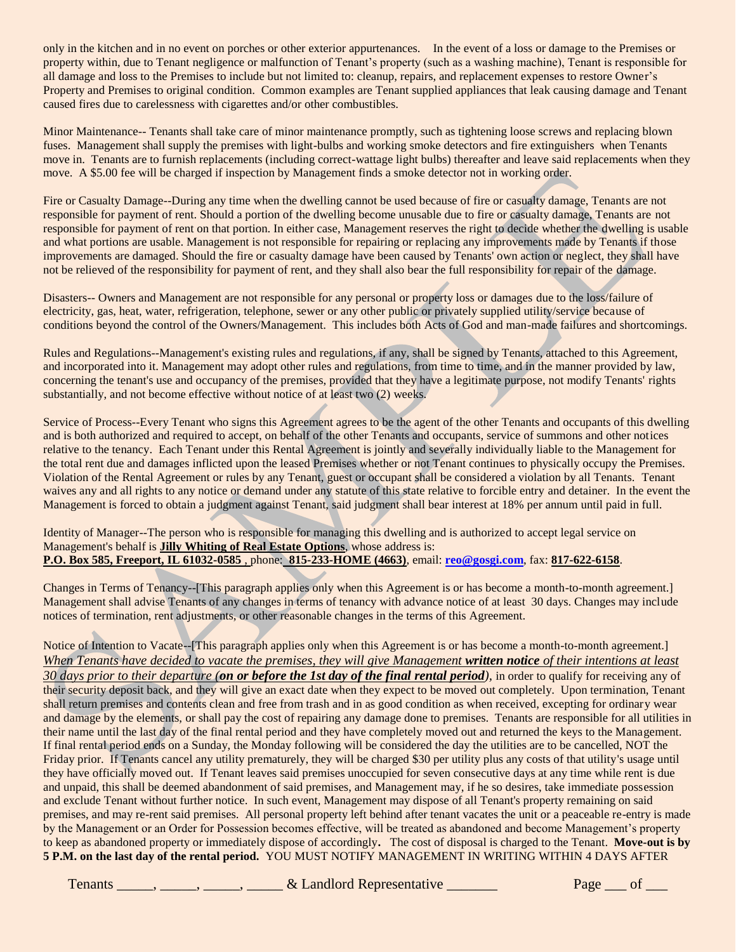only in the kitchen and in no event on porches or other exterior appurtenances. In the event of a loss or damage to the Premises or property within, due to Tenant negligence or malfunction of Tenant's property (such as a washing machine), Tenant is responsible for all damage and loss to the Premises to include but not limited to: cleanup, repairs, and replacement expenses to restore Owner's Property and Premises to original condition. Common examples are Tenant supplied appliances that leak causing damage and Tenant caused fires due to carelessness with cigarettes and/or other combustibles.

Minor Maintenance-- Tenants shall take care of minor maintenance promptly, such as tightening loose screws and replacing blown fuses. Management shall supply the premises with light-bulbs and working smoke detectors and fire extinguishers when Tenants move in. Tenants are to furnish replacements (including correct-wattage light bulbs) thereafter and leave said replacements when they move. A \$5.00 fee will be charged if inspection by Management finds a smoke detector not in working order.

Fire or Casualty Damage--During any time when the dwelling cannot be used because of fire or casualty damage, Tenants are not responsible for payment of rent. Should a portion of the dwelling become unusable due to fire or casualty damage, Tenants are not responsible for payment of rent on that portion. In either case, Management reserves the right to decide whether the dwelling is usable and what portions are usable. Management is not responsible for repairing or replacing any improvements made by Tenants if those improvements are damaged. Should the fire or casualty damage have been caused by Tenants' own action or neglect, they shall have not be relieved of the responsibility for payment of rent, and they shall also bear the full responsibility for repair of the damage.

Disasters-- Owners and Management are not responsible for any personal or property loss or damages due to the loss/failure of electricity, gas, heat, water, refrigeration, telephone, sewer or any other public or privately supplied utility/service because of conditions beyond the control of the Owners/Management. This includes both Acts of God and man-made failures and shortcomings.

Rules and Regulations--Management's existing rules and regulations, if any, shall be signed by Tenants, attached to this Agreement, and incorporated into it. Management may adopt other rules and regulations, from time to time, and in the manner provided by law, concerning the tenant's use and occupancy of the premises, provided that they have a legitimate purpose, not modify Tenants' rights substantially, and not become effective without notice of at least two (2) weeks.

Service of Process--Every Tenant who signs this Agreement agrees to be the agent of the other Tenants and occupants of this dwelling and is both authorized and required to accept, on behalf of the other Tenants and occupants, service of summons and other notices relative to the tenancy. Each Tenant under this Rental Agreement is jointly and severally individually liable to the Management for the total rent due and damages inflicted upon the leased Premises whether or not Tenant continues to physically occupy the Premises. Violation of the Rental Agreement or rules by any Tenant, guest or occupant shall be considered a violation by all Tenants. Tenant waives any and all rights to any notice or demand under any statute of this state relative to forcible entry and detainer. In the event the Management is forced to obtain a judgment against Tenant, said judgment shall bear interest at 18% per annum until paid in full.

Identity of Manager--The person who is responsible for managing this dwelling and is authorized to accept legal service on Management's behalf is **Jilly Whiting of Real Estate Options**, whose address is: **P.O. Box 585, Freeport, IL 61032-0585** , phone: **815-233-HOME (4663)**, email: **[reo@gosgi.com](mailto:reo@gosgi.com)**, fax: **817-622-6158**.

Changes in Terms of Tenancy--[This paragraph applies only when this Agreement is or has become a month-to-month agreement.] Management shall advise Tenants of any changes in terms of tenancy with advance notice of at least 30 days. Changes may include notices of termination, rent adjustments, or other reasonable changes in the terms of this Agreement.

Notice of Intention to Vacate--[This paragraph applies only when this Agreement is or has become a month-to-month agreement.] *When Tenants have decided to vacate the premises, they will give Management written notice of their intentions at least 30 days prior to their departure (on or before the 1st day of the final rental period),* in order to qualify for receiving any of their security deposit back, and they will give an exact date when they expect to be moved out completely. Upon termination, Tenant shall return premises and contents clean and free from trash and in as good condition as when received, excepting for ordinary wear and damage by the elements, or shall pay the cost of repairing any damage done to premises. Tenants are responsible for all utilities in their name until the last day of the final rental period and they have completely moved out and returned the keys to the Management. If final rental period ends on a Sunday, the Monday following will be considered the day the utilities are to be cancelled, NOT the Friday prior. If Tenants cancel any utility prematurely, they will be charged \$30 per utility plus any costs of that utility's usage until they have officially moved out. If Tenant leaves said premises unoccupied for seven consecutive days at any time while rent is due and unpaid, this shall be deemed abandonment of said premises, and Management may, if he so desires, take immediate possession and exclude Tenant without further notice. In such event, Management may dispose of all Tenant's property remaining on said premises, and may re-rent said premises. All personal property left behind after tenant vacates the unit or a peaceable re-entry is made by the Management or an Order for Possession becomes effective, will be treated as abandoned and become Management's property to keep as abandoned property or immediately dispose of accordingly**.** The cost of disposal is charged to the Tenant. **Move-out is by 5 P.M. on the last day of the rental period.** YOU MUST NOTIFY MANAGEMENT IN WRITING WITHIN 4 DAYS AFTER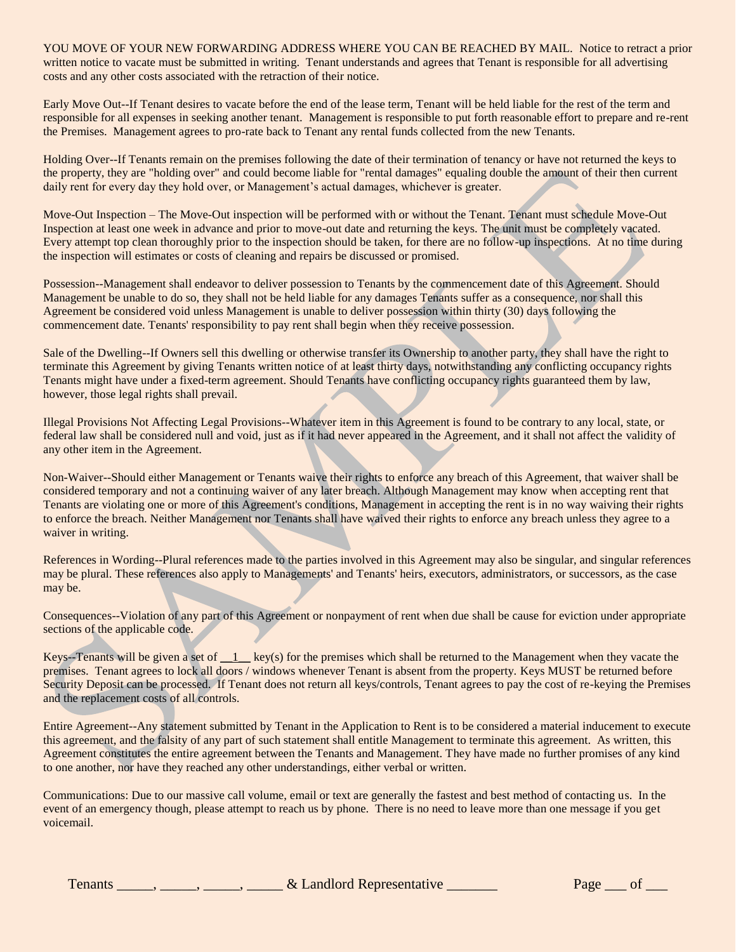YOU MOVE OF YOUR NEW FORWARDING ADDRESS WHERE YOU CAN BE REACHED BY MAIL. Notice to retract a prior written notice to vacate must be submitted in writing. Tenant understands and agrees that Tenant is responsible for all advertising costs and any other costs associated with the retraction of their notice.

Early Move Out--If Tenant desires to vacate before the end of the lease term, Tenant will be held liable for the rest of the term and responsible for all expenses in seeking another tenant. Management is responsible to put forth reasonable effort to prepare and re-rent the Premises. Management agrees to pro-rate back to Tenant any rental funds collected from the new Tenants.

Holding Over--If Tenants remain on the premises following the date of their termination of tenancy or have not returned the keys to the property, they are "holding over" and could become liable for "rental damages" equaling double the amount of their then current daily rent for every day they hold over, or Management's actual damages, whichever is greater.

Move-Out Inspection – The Move-Out inspection will be performed with or without the Tenant. Tenant must schedule Move-Out Inspection at least one week in advance and prior to move-out date and returning the keys. The unit must be completely vacated. Every attempt top clean thoroughly prior to the inspection should be taken, for there are no follow-up inspections. At no time during the inspection will estimates or costs of cleaning and repairs be discussed or promised.

Possession--Management shall endeavor to deliver possession to Tenants by the commencement date of this Agreement. Should Management be unable to do so, they shall not be held liable for any damages Tenants suffer as a consequence, nor shall this Agreement be considered void unless Management is unable to deliver possession within thirty (30) days following the commencement date. Tenants' responsibility to pay rent shall begin when they receive possession.

Sale of the Dwelling--If Owners sell this dwelling or otherwise transfer its Ownership to another party, they shall have the right to terminate this Agreement by giving Tenants written notice of at least thirty days, notwithstanding any conflicting occupancy rights Tenants might have under a fixed-term agreement. Should Tenants have conflicting occupancy rights guaranteed them by law, however, those legal rights shall prevail.

Illegal Provisions Not Affecting Legal Provisions--Whatever item in this Agreement is found to be contrary to any local, state, or federal law shall be considered null and void, just as if it had never appeared in the Agreement, and it shall not affect the validity of any other item in the Agreement.

Non-Waiver--Should either Management or Tenants waive their rights to enforce any breach of this Agreement, that waiver shall be considered temporary and not a continuing waiver of any later breach. Although Management may know when accepting rent that Tenants are violating one or more of this Agreement's conditions, Management in accepting the rent is in no way waiving their rights to enforce the breach. Neither Management nor Tenants shall have waived their rights to enforce any breach unless they agree to a waiver in writing.

References in Wording--Plural references made to the parties involved in this Agreement may also be singular, and singular references may be plural. These references also apply to Managements' and Tenants' heirs, executors, administrators, or successors, as the case may be.

Consequences--Violation of any part of this Agreement or nonpayment of rent when due shall be cause for eviction under appropriate sections of the applicable code.

Keys--Tenants will be given a set of  $\perp$  key(s) for the premises which shall be returned to the Management when they vacate the premises. Tenant agrees to lock all doors / windows whenever Tenant is absent from the property. Keys MUST be returned before Security Deposit can be processed. If Tenant does not return all keys/controls, Tenant agrees to pay the cost of re-keying the Premises and the replacement costs of all controls.

Entire Agreement--Any statement submitted by Tenant in the Application to Rent is to be considered a material inducement to execute this agreement, and the falsity of any part of such statement shall entitle Management to terminate this agreement. As written, this Agreement constitutes the entire agreement between the Tenants and Management. They have made no further promises of any kind to one another, nor have they reached any other understandings, either verbal or written.

Communications: Due to our massive call volume, email or text are generally the fastest and best method of contacting us. In the event of an emergency though, please attempt to reach us by phone. There is no need to leave more than one message if you get voicemail.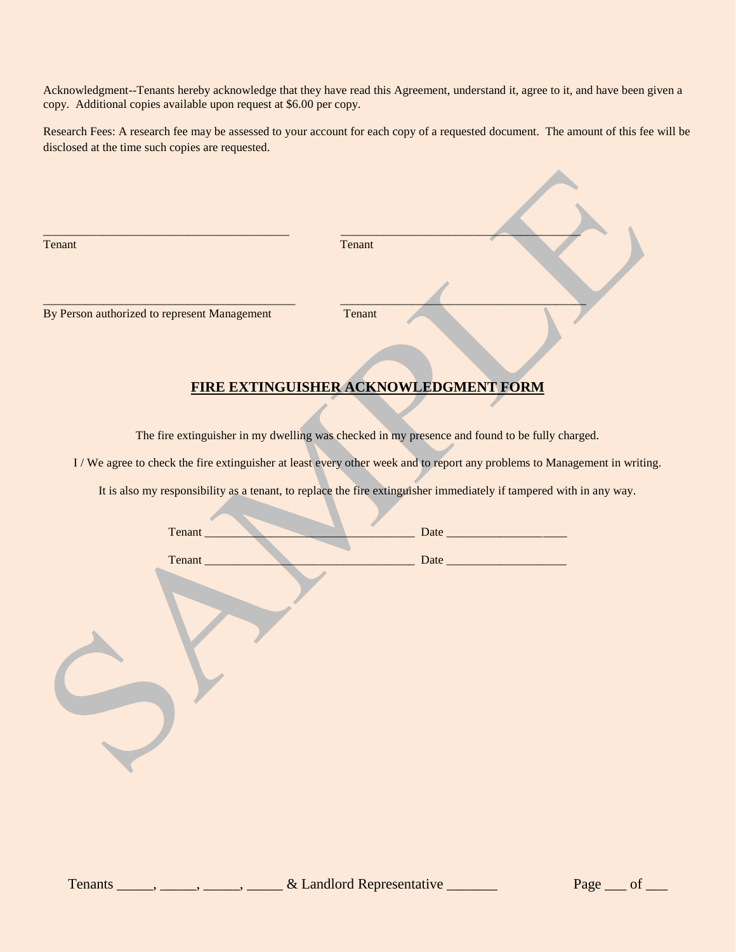Acknowledgment--Tenants hereby acknowledge that they have read this Agreement, understand it, agree to it, and have been given a copy. Additional copies available upon request at \$6.00 per copy.

Research Fees: A research fee may be assessed to your account for each copy of a requested document. The amount of this fee will be disclosed at the time such copies are requested.

| Tenant                                       | Tenant                                                                                         |
|----------------------------------------------|------------------------------------------------------------------------------------------------|
| By Person authorized to represent Management | Tenant                                                                                         |
|                                              | <b>FIRE EXTINGUISHER ACKNOWLEDGMENT FORM</b>                                                   |
|                                              | The fire extinguisher in my dwelling was checked in my presence and found to be fully charged. |

I / We agree to check the fire extinguisher at least every other week and to report any problems to Management in writing.

It is also my responsibility as a tenant, to replace the fire extinguisher immediately if tampered with in any way.

| Tenant_ | Date |
|---------|------|
| Tenant_ |      |
|         |      |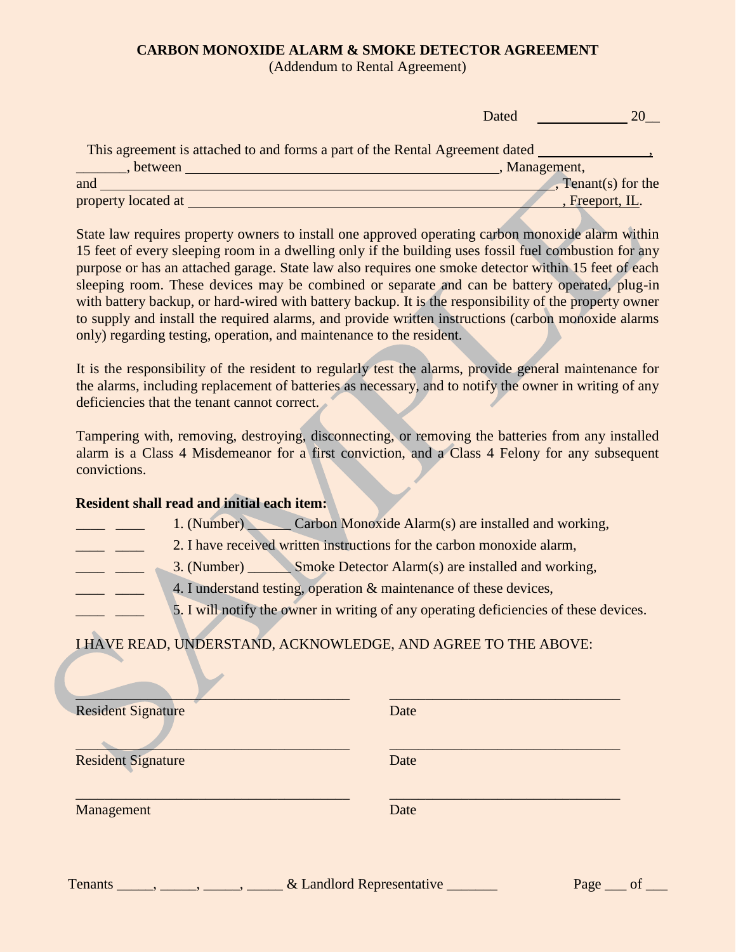# **CARBON MONOXIDE ALARM & SMOKE DETECTOR AGREEMENT**

(Addendum to Rental Agreement)

|                                                                              | Dated                                  |
|------------------------------------------------------------------------------|----------------------------------------|
| This agreement is attached to and forms a part of the Rental Agreement dated |                                        |
| between                                                                      | Management,                            |
| and                                                                          | $\sqrt{\frac{1}{s}}$ Tenant(s) for the |
| property located at                                                          | , Freeport, IL.                        |
|                                                                              |                                        |

State law requires property owners to install one approved operating carbon monoxide alarm within 15 feet of every sleeping room in a dwelling only if the building uses fossil fuel combustion for any purpose or has an attached garage. State law also requires one smoke detector within 15 feet of each sleeping room. These devices may be combined or separate and can be battery operated, plug-in with battery backup, or hard-wired with battery backup. It is the responsibility of the property owner to supply and install the required alarms, and provide written instructions (carbon monoxide alarms only) regarding testing, operation, and maintenance to the resident.

It is the responsibility of the resident to regularly test the alarms, provide general maintenance for the alarms, including replacement of batteries as necessary, and to notify the owner in writing of any deficiencies that the tenant cannot correct.

Tampering with, removing, destroying, disconnecting, or removing the batteries from any installed alarm is a Class 4 Misdemeanor for a first conviction, and a Class 4 Felony for any subsequent convictions.

# **Resident shall read and initial each item:**

- 1. (Number) Carbon Monoxide Alarm(s) are installed and working,
- **EXECUTE:** 2. I have received written instructions for the carbon monoxide alarm,
- **EXECUTE:** 3. (Number) Smoke Detector Alarm(s) are installed and working,
	- 4. I understand testing, operation  $\&$  maintenance of these devices,
		- 5. I will notify the owner in writing of any operating deficiencies of these devices.

# I HAVE READ, UNDERSTAND, ACKNOWLEDGE, AND AGREE TO THE ABOVE:

| <b>Resident Signature</b> | Date |
|---------------------------|------|
| <b>Resident Signature</b> | Date |
| Management                | Date |
|                           |      |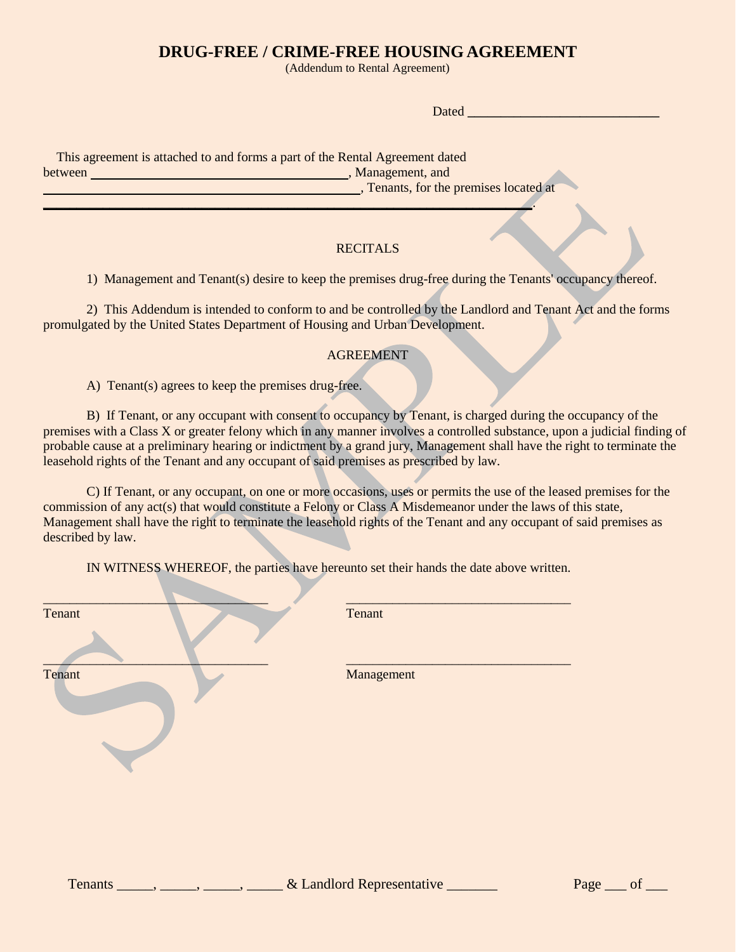# **DRUG-FREE / CRIME-FREE HOUSING AGREEMENT**

(Addendum to Rental Agreement)

Dated **\_\_\_\_\_\_\_\_\_\_\_\_\_\_\_\_\_\_\_\_\_\_\_\_\_\_\_\_\_**

 This agreement is attached to and forms a part of the Rental Agreement dated between , Management, and **here** is a straight of the straight of the straight of the straight of the straight of the straight of the straight of the straight of the straight of the straight of the straight of the straight *• P , Tenants, for the premises located at* 

**\_\_\_\_\_\_\_\_\_\_\_\_\_\_\_\_\_\_\_\_\_\_\_\_\_\_\_\_\_\_\_\_\_\_\_\_\_\_\_\_\_\_\_\_\_\_\_\_\_\_\_\_\_\_\_\_\_\_\_\_\_\_\_\_\_\_\_\_\_\_\_\_\_\_**.

# **RECITALS**

1) Management and Tenant(s) desire to keep the premises drug-free during the Tenants' occupancy thereof.

2) This Addendum is intended to conform to and be controlled by the Landlord and Tenant Act and the forms promulgated by the United States Department of Housing and Urban Development.

### AGREEMENT

A) Tenant(s) agrees to keep the premises drug-free.

B) If Tenant, or any occupant with consent to occupancy by Tenant, is charged during the occupancy of the premises with a Class X or greater felony which in any manner involves a controlled substance, upon a judicial finding of probable cause at a preliminary hearing or indictment by a grand jury, Management shall have the right to terminate the leasehold rights of the Tenant and any occupant of said premises as prescribed by law.

C) If Tenant, or any occupant, on one or more occasions, uses or permits the use of the leased premises for the commission of any act(s) that would constitute a Felony or Class A Misdemeanor under the laws of this state, Management shall have the right to terminate the leasehold rights of the Tenant and any occupant of said premises as described by law.

IN WITNESS WHEREOF, the parties have hereunto set their hands the date above written.

| Tenant | Tenant     |
|--------|------------|
| Tenant | Management |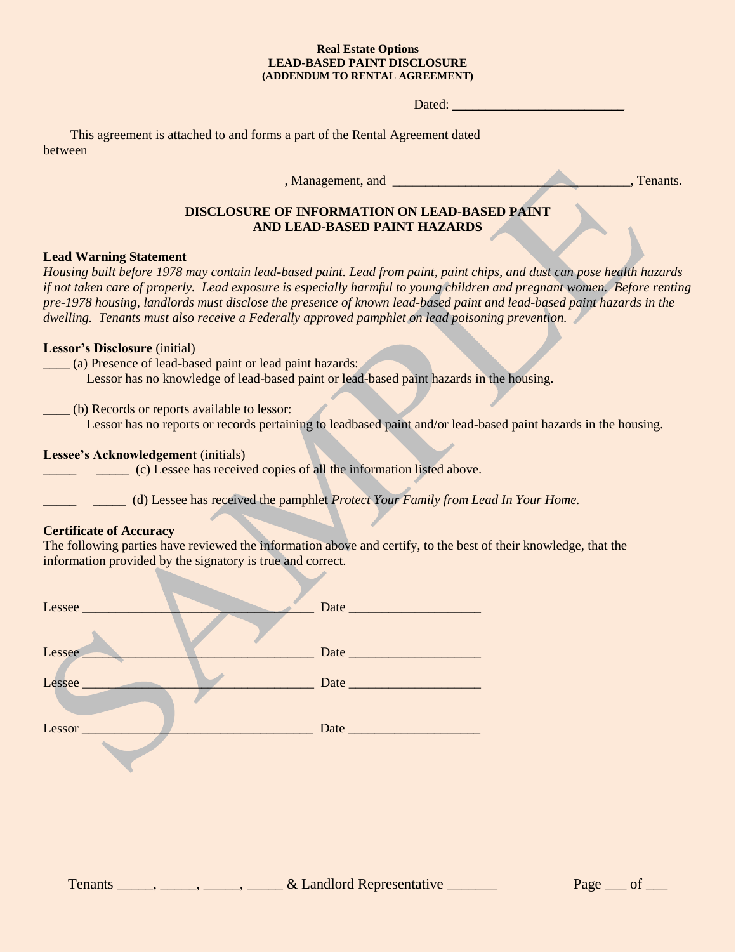#### **Real Estate Options LEAD-BASED PAINT DISCLOSURE (ADDENDUM TO RENTAL AGREEMENT)**

Dated: \_\_\_\_\_\_\_\_\_\_\_\_\_\_\_\_\_\_\_\_\_\_\_\_\_\_

This agreement is attached to and forms a part of the Rental Agreement dated between

, Management, and \_\_\_\_\_\_\_\_\_\_\_\_\_\_\_\_\_\_\_\_\_\_\_\_\_\_\_\_\_\_\_\_\_\_\_\_, Tenants.

# **DISCLOSURE OF INFORMATION ON LEAD-BASED PAINT AND LEAD-BASED PAINT HAZARDS**

# **Lead Warning Statement**

*Housing built before 1978 may contain lead-based paint. Lead from paint, paint chips, and dust can pose health hazards if not taken care of properly. Lead exposure is especially harmful to young children and pregnant women. Before renting pre-1978 housing, landlords must disclose the presence of known lead-based paint and lead-based paint hazards in the dwelling. Tenants must also receive a Federally approved pamphlet on lead poisoning prevention.*

# **Lessor's Disclosure** (initial)

\_\_\_\_ (a) Presence of lead-based paint or lead paint hazards:

Lessor has no knowledge of lead-based paint or lead-based paint hazards in the housing.

\_\_\_\_ (b) Records or reports available to lessor:

Lessor has no reports or records pertaining to leadbased paint and/or lead-based paint hazards in the housing.

# **Lessee's Acknowledgement** (initials)

**Example 2** (c) Lessee has received copies of all the information listed above.

\_\_\_\_\_ \_\_\_\_\_ (d) Lessee has received the pamphlet *Protect Your Family from Lead In Your Home.*

## **Certificate of Accuracy**

The following parties have reviewed the information above and certify, to the best of their knowledge, that the information provided by the signatory is true and correct.

| Lessee |  |
|--------|--|
|        |  |
| Lessee |  |
| Lessee |  |
|        |  |
|        |  |